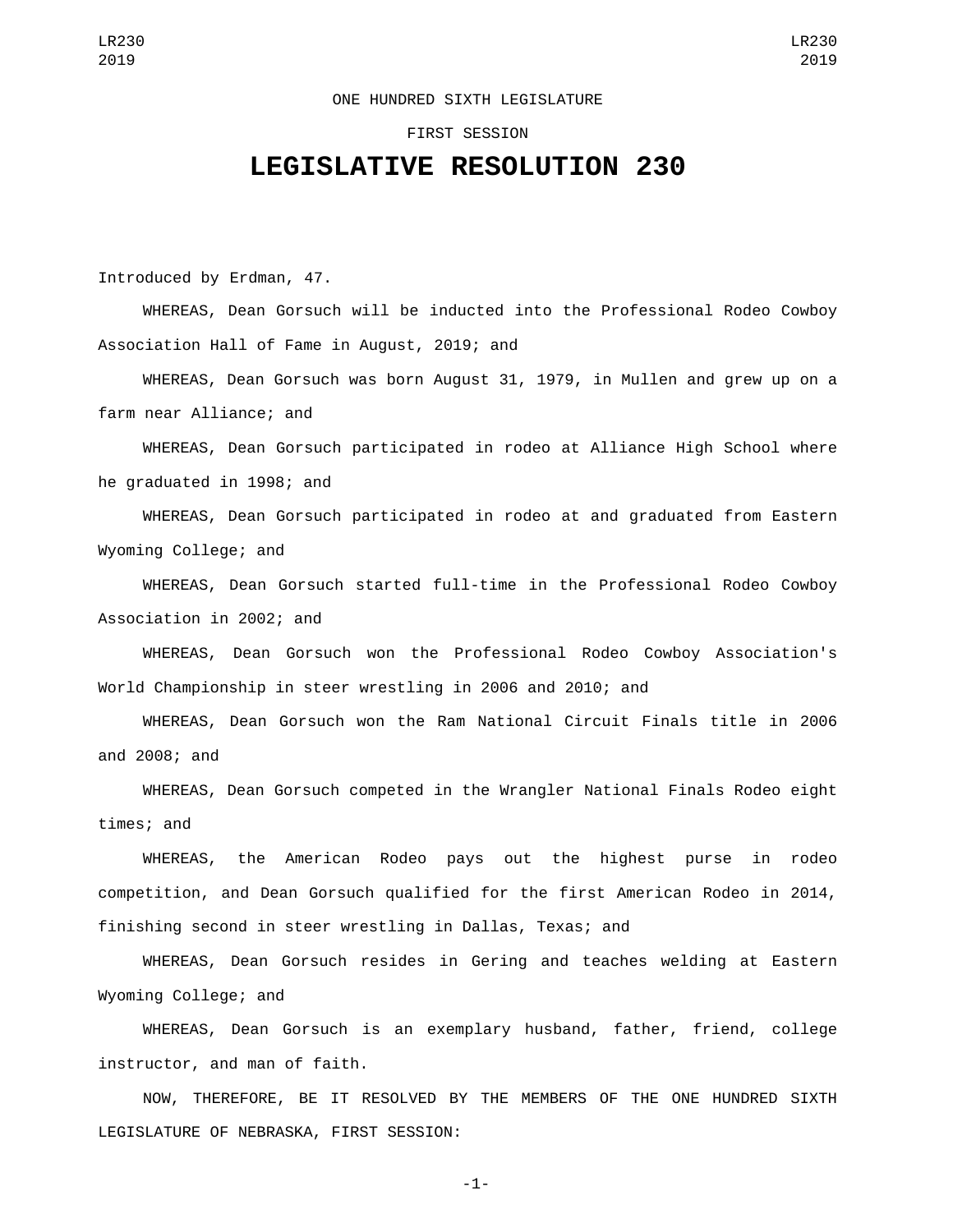## ONE HUNDRED SIXTH LEGISLATURE

## FIRST SESSION

## **LEGISLATIVE RESOLUTION 230**

Introduced by Erdman, 47.

WHEREAS, Dean Gorsuch will be inducted into the Professional Rodeo Cowboy Association Hall of Fame in August, 2019; and

WHEREAS, Dean Gorsuch was born August 31, 1979, in Mullen and grew up on a farm near Alliance; and

WHEREAS, Dean Gorsuch participated in rodeo at Alliance High School where he graduated in 1998; and

WHEREAS, Dean Gorsuch participated in rodeo at and graduated from Eastern Wyoming College; and

WHEREAS, Dean Gorsuch started full-time in the Professional Rodeo Cowboy Association in 2002; and

WHEREAS, Dean Gorsuch won the Professional Rodeo Cowboy Association's World Championship in steer wrestling in 2006 and 2010; and

WHEREAS, Dean Gorsuch won the Ram National Circuit Finals title in 2006 and 2008; and

WHEREAS, Dean Gorsuch competed in the Wrangler National Finals Rodeo eight times; and

WHEREAS, the American Rodeo pays out the highest purse in rodeo competition, and Dean Gorsuch qualified for the first American Rodeo in 2014, finishing second in steer wrestling in Dallas, Texas; and

WHEREAS, Dean Gorsuch resides in Gering and teaches welding at Eastern Wyoming College; and

WHEREAS, Dean Gorsuch is an exemplary husband, father, friend, college instructor, and man of faith.

NOW, THEREFORE, BE IT RESOLVED BY THE MEMBERS OF THE ONE HUNDRED SIXTH LEGISLATURE OF NEBRASKA, FIRST SESSION:

-1-